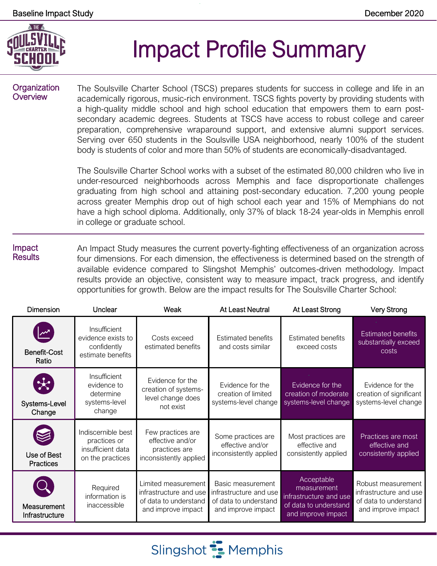

# Impact Profile Summary

#### **Organization Overview**

The Soulsville Charter School (TSCS) prepares students for success in college and life in an academically rigorous, music-rich environment. TSCS fights poverty by providing students with a high-quality middle school and high school education that empowers them to earn postsecondary academic degrees. Students at TSCS have access to robust college and career preparation, comprehensive wraparound support, and extensive alumni support services. Serving over 650 students in the Soulsville USA neighborhood, nearly 100% of the student body is students of color and more than 50% of students are economically-disadvantaged.

The Soulsville Charter School works with a subset of the estimated 80,000 children who live in under-resourced neighborhoods across Memphis and face disproportionate challenges graduating from high school and attaining post-secondary education. 7,200 young people across greater Memphis drop out of high school each year and 15% of Memphians do not have a high school diploma. Additionally, only 37% of black 18-24 year-olds in Memphis enroll in college or graduate school.

#### Impact **Results** An Impact Study measures the current poverty-fighting effectiveness of an organization across four dimensions. For each dimension, the effectiveness is determined based on the strength of available evidence compared to Slingshot Memphis' outcomes-driven methodology. Impact results provide an objective, consistent way to measure impact, track progress, and identify opportunities for growth. Below are the impact results for The Soulsville Charter School:

| <b>Dimension</b>                         | Unclear                                                                     | Weak                                                                                         | At Least Neutral                                                                           | At Least Strong                                                                                    | <b>Very Strong</b>                                                                          |
|------------------------------------------|-----------------------------------------------------------------------------|----------------------------------------------------------------------------------------------|--------------------------------------------------------------------------------------------|----------------------------------------------------------------------------------------------------|---------------------------------------------------------------------------------------------|
| Benefit-Cost<br>Ratio                    | Insufficient<br>evidence exists to<br>confidently<br>estimate benefits      | Costs exceed<br>estimated benefits                                                           | <b>Estimated benefits</b><br>and costs similar                                             | <b>Estimated benefits</b><br>exceed costs                                                          | <b>Estimated benefits</b><br>substantially exceed<br>costs                                  |
| $\mathcal{H}$<br>Systems-Level<br>Change | Insufficient<br>evidence to<br>determine<br>systems-level<br>change         | Evidence for the<br>creation of systems-<br>level change does<br>not exist                   | Evidence for the<br>creation of limited<br>systems-level change                            | Evidence for the<br>creation of moderate<br>systems-level change                                   | Evidence for the<br>creation of significant<br>systems-level change                         |
| Use of Best<br><b>Practices</b>          | Indiscernible best<br>practices or<br>insufficient data<br>on the practices | Few practices are<br>effective and/or<br>practices are<br>inconsistently applied             | Some practices are<br>effective and/or<br>inconsistently applied                           | Most practices are<br>effective and<br>consistently applied                                        | Practices are most<br>effective and<br>consistently applied                                 |
| Measurement<br>Infrastructure            | Required<br>information is<br>inaccessible                                  | Limited measurement<br>infrastructure and use<br>of data to understand<br>and improve impact | Basic measurement<br>infrastructure and use<br>of data to understand<br>and improve impact | Acceptable<br>measurement<br>infrastructure and use<br>of data to understand<br>and improve impact | Robust measurement<br>infrastructure and use<br>of data to understand<br>and improve impact |

Slingshot **:** Memphis